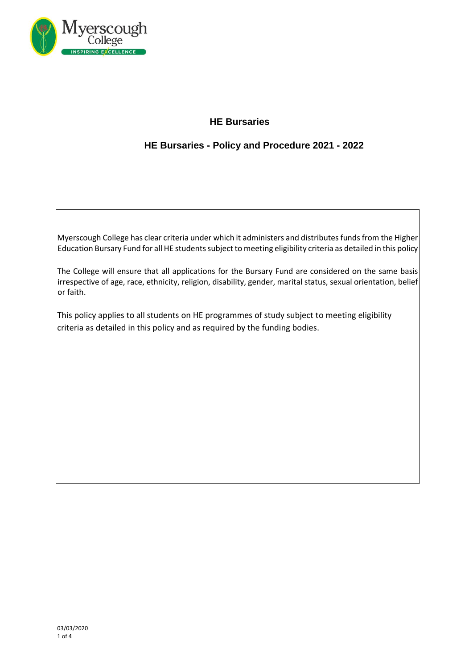

# **HE Bursaries**

## **HE Bursaries - Policy and Procedure 2021 - 2022**

Myerscough College has clear criteria under which it administers and distributes funds from the Higher Education Bursary Fund for all HE students subject to meeting eligibility criteria as detailed in this policy

The College will ensure that all applications for the Bursary Fund are considered on the same basis irrespective of age, race, ethnicity, religion, disability, gender, marital status, sexual orientation, belief or faith.

This policy applies to all students on HE programmes of study subject to meeting eligibility criteria as detailed in this policy and as required by the funding bodies.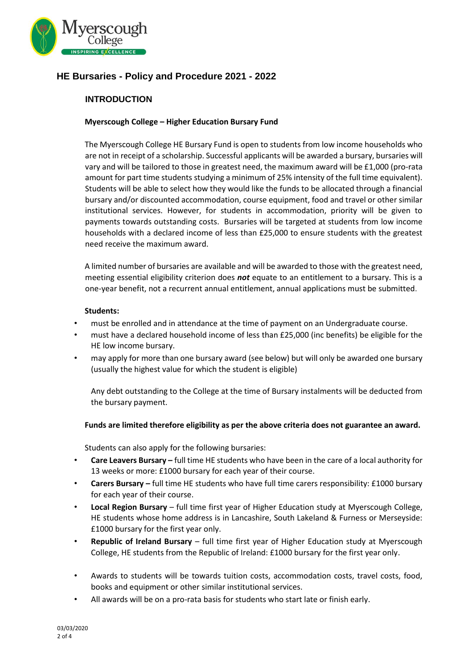

## **HE Bursaries - Policy and Procedure 2021 - 2022**

### **INTRODUCTION**

### **Myerscough College – Higher Education Bursary Fund**

The Myerscough College HE Bursary Fund is open to students from low income households who are not in receipt of a scholarship. Successful applicants will be awarded a bursary, bursaries will vary and will be tailored to those in greatest need, the maximum award will be £1,000 (pro-rata amount for part time students studying a minimum of 25% intensity of the full time equivalent). Students will be able to select how they would like the funds to be allocated through a financial bursary and/or discounted accommodation, course equipment, food and travel or other similar institutional services. However, for students in accommodation, priority will be given to payments towards outstanding costs. Bursaries will be targeted at students from low income households with a declared income of less than £25,000 to ensure students with the greatest need receive the maximum award.

A limited number of bursaries are available and will be awarded to those with the greatest need, meeting essential eligibility criterion does *not* equate to an entitlement to a bursary. This is a one-year benefit, not a recurrent annual entitlement, annual applications must be submitted.

#### **Students:**

- must be enrolled and in attendance at the time of payment on an Undergraduate course.
- must have a declared household income of less than £25,000 (inc benefits) be eligible for the HE low income bursary.
- may apply for more than one bursary award (see below) but will only be awarded one bursary (usually the highest value for which the student is eligible)

Any debt outstanding to the College at the time of Bursary instalments will be deducted from the bursary payment.

#### **Funds are limited therefore eligibility as per the above criteria does not guarantee an award.**

Students can also apply for the following bursaries:

- **Care Leavers Bursary –** full time HE students who have been in the care of a local authority for 13 weeks or more: £1000 bursary for each year of their course.
- **Carers Bursary –** full time HE students who have full time carers responsibility: £1000 bursary for each year of their course.
- **Local Region Bursary**  full time first year of Higher Education study at Myerscough College, HE students whose home address is in Lancashire, South Lakeland & Furness or Merseyside: £1000 bursary for the first year only.
- **Republic of Ireland Bursary** full time first year of Higher Education study at Myerscough College, HE students from the Republic of Ireland: £1000 bursary for the first year only.
- Awards to students will be towards tuition costs, accommodation costs, travel costs, food, books and equipment or other similar institutional services.
- All awards will be on a pro-rata basis for students who start late or finish early.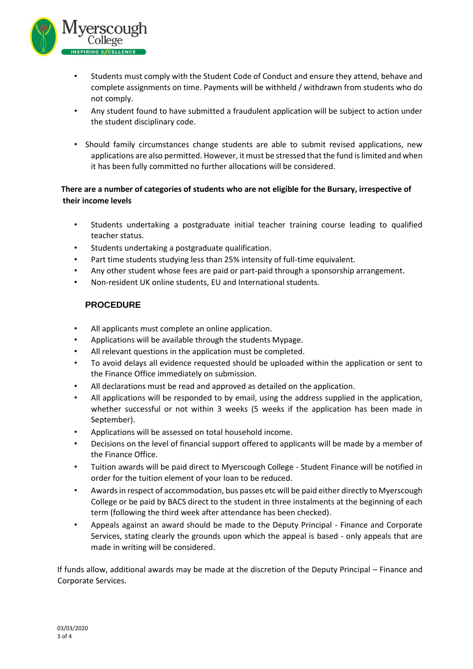

- Students must comply with the Student Code of Conduct and ensure they attend, behave and complete assignments on time. Payments will be withheld / withdrawn from students who do not comply.
- Any student found to have submitted a fraudulent application will be subject to action under the student disciplinary code.
- Should family circumstances change students are able to submit revised applications, new applications are also permitted. However, it must be stressed that the fund is limited and when it has been fully committed no further allocations will be considered.

## **There are a number of categories of students who are not eligible for the Bursary, irrespective of their income levels**

- Students undertaking a postgraduate initial teacher training course leading to qualified teacher status.
- Students undertaking a postgraduate qualification.
- Part time students studying less than 25% intensity of full-time equivalent.
- Any other student whose fees are paid or part-paid through a sponsorship arrangement.
- Non-resident UK online students, EU and International students.

## **PROCEDURE**

- All applicants must complete an online application.
- Applications will be available through the students Mypage.
- All relevant questions in the application must be completed.
- To avoid delays all evidence requested should be uploaded within the application or sent to the Finance Office immediately on submission.
- All declarations must be read and approved as detailed on the application.
- All applications will be responded to by email, using the address supplied in the application, whether successful or not within 3 weeks (5 weeks if the application has been made in September).
- Applications will be assessed on total household income.
- Decisions on the level of financial support offered to applicants will be made by a member of the Finance Office.
- Tuition awards will be paid direct to Myerscough College Student Finance will be notified in order for the tuition element of your loan to be reduced.
- Awards in respect of accommodation, bus passes etc will be paid either directly to Myerscough College or be paid by BACS direct to the student in three instalments at the beginning of each term (following the third week after attendance has been checked).
- Appeals against an award should be made to the Deputy Principal Finance and Corporate Services, stating clearly the grounds upon which the appeal is based - only appeals that are made in writing will be considered.

If funds allow, additional awards may be made at the discretion of the Deputy Principal – Finance and Corporate Services.